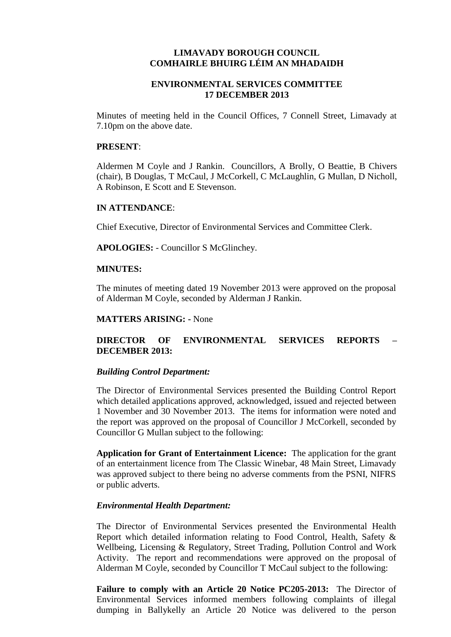## **LIMAVADY BOROUGH COUNCIL COMHAIRLE BHUIRG LÉIM AN MHADAIDH**

# **ENVIRONMENTAL SERVICES COMMITTEE 17 DECEMBER 2013**

Minutes of meeting held in the Council Offices, 7 Connell Street, Limavady at 7.10pm on the above date.

### **PRESENT**:

Aldermen M Coyle and J Rankin. Councillors, A Brolly, O Beattie, B Chivers (chair), B Douglas, T McCaul, J McCorkell, C McLaughlin, G Mullan, D Nicholl, A Robinson, E Scott and E Stevenson.

## **IN ATTENDANCE**:

Chief Executive, Director of Environmental Services and Committee Clerk.

**APOLOGIES:** - Councillor S McGlinchey.

## **MINUTES:**

The minutes of meeting dated 19 November 2013 were approved on the proposal of Alderman M Coyle, seconded by Alderman J Rankin.

## **MATTERS ARISING: -** None

# **DIRECTOR OF ENVIRONMENTAL SERVICES REPORTS – DECEMBER 2013:**

### *Building Control Department:*

The Director of Environmental Services presented the Building Control Report which detailed applications approved, acknowledged, issued and rejected between 1 November and 30 November 2013. The items for information were noted and the report was approved on the proposal of Councillor J McCorkell, seconded by Councillor G Mullan subject to the following:

**Application for Grant of Entertainment Licence:** The application for the grant of an entertainment licence from The Classic Winebar, 48 Main Street, Limavady was approved subject to there being no adverse comments from the PSNI, NIFRS or public adverts.

### *Environmental Health Department:*

The Director of Environmental Services presented the Environmental Health Report which detailed information relating to Food Control, Health, Safety & Wellbeing, Licensing & Regulatory, Street Trading, Pollution Control and Work Activity. The report and recommendations were approved on the proposal of Alderman M Coyle, seconded by Councillor T McCaul subject to the following:

**Failure to comply with an Article 20 Notice PC205-2013:** The Director of Environmental Services informed members following complaints of illegal dumping in Ballykelly an Article 20 Notice was delivered to the person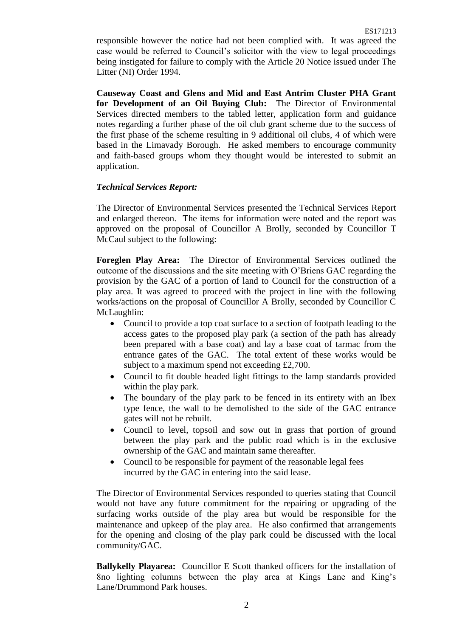responsible however the notice had not been complied with. It was agreed the case would be referred to Council's solicitor with the view to legal proceedings being instigated for failure to comply with the Article 20 Notice issued under The Litter (NI) Order 1994.

**Causeway Coast and Glens and Mid and East Antrim Cluster PHA Grant for Development of an Oil Buying Club:** The Director of Environmental Services directed members to the tabled letter, application form and guidance notes regarding a further phase of the oil club grant scheme due to the success of the first phase of the scheme resulting in 9 additional oil clubs, 4 of which were based in the Limavady Borough. He asked members to encourage community and faith-based groups whom they thought would be interested to submit an application.

# *Technical Services Report:*

The Director of Environmental Services presented the Technical Services Report and enlarged thereon. The items for information were noted and the report was approved on the proposal of Councillor A Brolly, seconded by Councillor T McCaul subject to the following:

**Foreglen Play Area:** The Director of Environmental Services outlined the outcome of the discussions and the site meeting with O'Briens GAC regarding the provision by the GAC of a portion of land to Council for the construction of a play area. It was agreed to proceed with the project in line with the following works/actions on the proposal of Councillor A Brolly, seconded by Councillor C McLaughlin:

- Council to provide a top coat surface to a section of footpath leading to the access gates to the proposed play park (a section of the path has already been prepared with a base coat) and lay a base coat of tarmac from the entrance gates of the GAC. The total extent of these works would be subject to a maximum spend not exceeding £2,700.
- Council to fit double headed light fittings to the lamp standards provided within the play park.
- The boundary of the play park to be fenced in its entirety with an Ibex type fence, the wall to be demolished to the side of the GAC entrance gates will not be rebuilt.
- Council to level, topsoil and sow out in grass that portion of ground between the play park and the public road which is in the exclusive ownership of the GAC and maintain same thereafter.
- Council to be responsible for payment of the reasonable legal fees incurred by the GAC in entering into the said lease.

The Director of Environmental Services responded to queries stating that Council would not have any future commitment for the repairing or upgrading of the surfacing works outside of the play area but would be responsible for the maintenance and upkeep of the play area. He also confirmed that arrangements for the opening and closing of the play park could be discussed with the local community/GAC.

**Ballykelly Playarea:** Councillor E Scott thanked officers for the installation of 8no lighting columns between the play area at Kings Lane and King's Lane/Drummond Park houses.